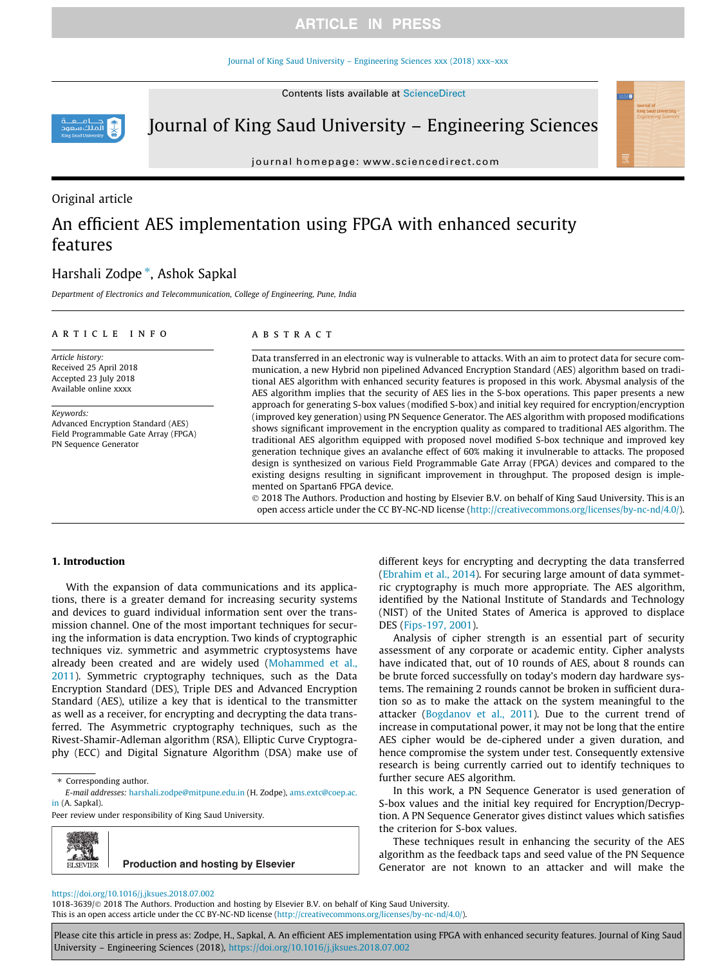#### [Journal of King Saud University – Engineering Sciences xxx \(2018\) xxx–xxx](https://doi.org/10.1016/j.jksues.2018.07.002)

Contents lists available at [ScienceDirect](http://www.sciencedirect.com/science/journal/10183639)



Journal of King Saud University – Engineering Sciences

journal homepage: [www.sciencedirect.com](http://www.sciencedirect.com)

# Original article

# An efficient AES implementation using FPGA with enhanced security features

# Harshali Zodpe \*, Ashok Sapkal

Department of Electronics and Telecommunication, College of Engineering, Pune, India

### article info

Article history: Received 25 April 2018 Accepted 23 July 2018 Available online xxxx

Keywords: Advanced Encryption Standard (AES) Field Programmable Gate Array (FPGA) PN Sequence Generator

### A B S T R A C T

Data transferred in an electronic way is vulnerable to attacks. With an aim to protect data for secure communication, a new Hybrid non pipelined Advanced Encryption Standard (AES) algorithm based on traditional AES algorithm with enhanced security features is proposed in this work. Abysmal analysis of the AES algorithm implies that the security of AES lies in the S-box operations. This paper presents a new approach for generating S-box values (modified S-box) and initial key required for encryption/encryption (improved key generation) using PN Sequence Generator. The AES algorithm with proposed modifications shows significant improvement in the encryption quality as compared to traditional AES algorithm. The traditional AES algorithm equipped with proposed novel modified S-box technique and improved key generation technique gives an avalanche effect of 60% making it invulnerable to attacks. The proposed design is synthesized on various Field Programmable Gate Array (FPGA) devices and compared to the existing designs resulting in significant improvement in throughput. The proposed design is implemented on Spartan6 FPGA device.

 2018 The Authors. Production and hosting by Elsevier B.V. on behalf of King Saud University. This is an open access article under the CC BY-NC-ND license (<http://creativecommons.org/licenses/by-nc-nd/4.0/>).

### 1. Introduction

With the expansion of data communications and its applications, there is a greater demand for increasing security systems and devices to guard individual information sent over the transmission channel. One of the most important techniques for securing the information is data encryption. Two kinds of cryptographic techniques viz. symmetric and asymmetric cryptosystems have already been created and are widely used ([Mohammed et al.,](#page-6-0) [2011\)](#page-6-0). Symmetric cryptography techniques, such as the Data Encryption Standard (DES), Triple DES and Advanced Encryption Standard (AES), utilize a key that is identical to the transmitter as well as a receiver, for encrypting and decrypting the data transferred. The Asymmetric cryptography techniques, such as the Rivest-Shamir-Adleman algorithm (RSA), Elliptic Curve Cryptography (ECC) and Digital Signature Algorithm (DSA) make use of

⇑ Corresponding author.

E-mail addresses: [harshali.zodpe@mitpune.edu.in](mailto:harshali.zodpe@mitpune.edu.in) (H. Zodpe), [ams.extc@coep.ac.](mailto:ams.extc@coep.ac.in) [in](mailto:ams.extc@coep.ac.in) (A. Sapkal).

Peer review under responsibility of King Saud University.

**Production and hosting by Elsevier ELSEVIER** 

different keys for encrypting and decrypting the data transferred ([Ebrahim et al., 2014\)](#page-6-0). For securing large amount of data symmetric cryptography is much more appropriate. The AES algorithm, identified by the National Institute of Standards and Technology (NIST) of the United States of America is approved to displace DES ([Fips-197, 2001](#page-6-0)).

Analysis of cipher strength is an essential part of security assessment of any corporate or academic entity. Cipher analysts have indicated that, out of 10 rounds of AES, about 8 rounds can be brute forced successfully on today's modern day hardware systems. The remaining 2 rounds cannot be broken in sufficient duration so as to make the attack on the system meaningful to the attacker [\(Bogdanov et al., 2011](#page-6-0)). Due to the current trend of increase in computational power, it may not be long that the entire AES cipher would be de-ciphered under a given duration, and hence compromise the system under test. Consequently extensive research is being currently carried out to identify techniques to further secure AES algorithm.

In this work, a PN Sequence Generator is used generation of S-box values and the initial key required for Encryption/Decryption. A PN Sequence Generator gives distinct values which satisfies the criterion for S-box values.

These techniques result in enhancing the security of the AES algorithm as the feedback taps and seed value of the PN Sequence Generator are not known to an attacker and will make the

### <https://doi.org/10.1016/j.jksues.2018.07.002>

1018-3639/© 2018 The Authors. Production and hosting by Elsevier B.V. on behalf of King Saud University. This is an open access article under the CC BY-NC-ND license ([http://creativecommons.org/licenses/by-nc-nd/4.0/\)](http://creativecommons.org/licenses/by-nc-nd/4.0/).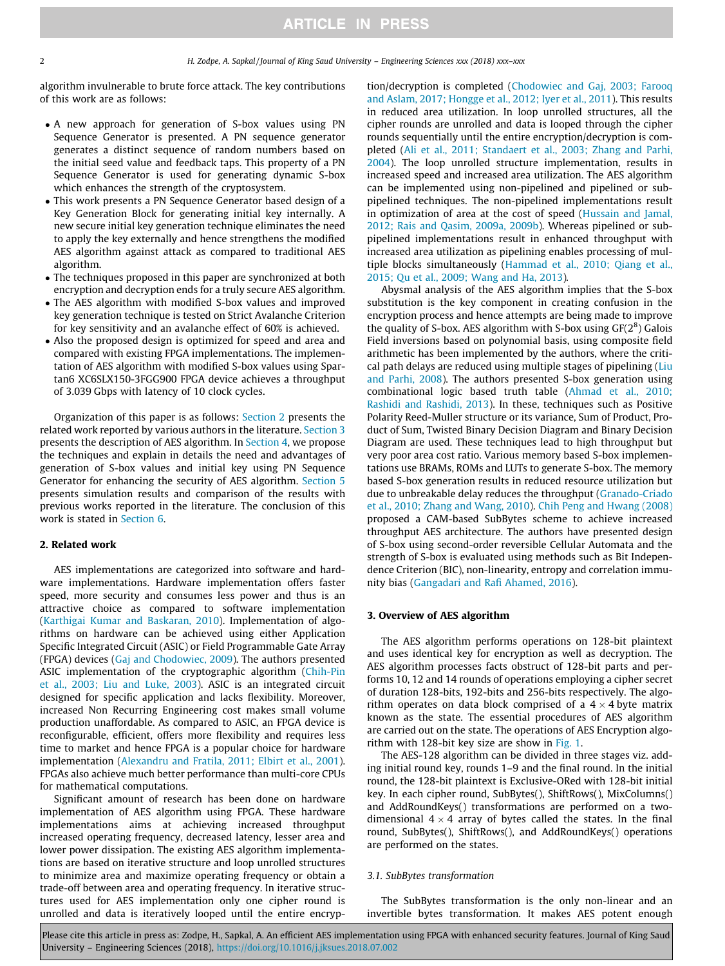<span id="page-1-0"></span>algorithm invulnerable to brute force attack. The key contributions of this work are as follows:

- A new approach for generation of S-box values using PN Sequence Generator is presented. A PN sequence generator generates a distinct sequence of random numbers based on the initial seed value and feedback taps. This property of a PN Sequence Generator is used for generating dynamic S-box which enhances the strength of the cryptosystem.
- This work presents a PN Sequence Generator based design of a Key Generation Block for generating initial key internally. A new secure initial key generation technique eliminates the need to apply the key externally and hence strengthens the modified AES algorithm against attack as compared to traditional AES algorithm.
- The techniques proposed in this paper are synchronized at both encryption and decryption ends for a truly secure AES algorithm.
- The AES algorithm with modified S-box values and improved key generation technique is tested on Strict Avalanche Criterion for key sensitivity and an avalanche effect of 60% is achieved.
- Also the proposed design is optimized for speed and area and compared with existing FPGA implementations. The implementation of AES algorithm with modified S-box values using Spartan6 XC6SLX150-3FGG900 FPGA device achieves a throughput of 3.039 Gbps with latency of 10 clock cycles.

Organization of this paper is as follows: Section 2 presents the related work reported by various authors in the literature. Section 3 presents the description of AES algorithm. In [Section 4](#page-2-0), we propose the techniques and explain in details the need and advantages of generation of S-box values and initial key using PN Sequence Generator for enhancing the security of AES algorithm. [Section 5](#page-4-0) presents simulation results and comparison of the results with previous works reported in the literature. The conclusion of this work is stated in [Section 6](#page-6-0).

### 2. Related work

AES implementations are categorized into software and hardware implementations. Hardware implementation offers faster speed, more security and consumes less power and thus is an attractive choice as compared to software implementation ([Karthigai Kumar and Baskaran, 2010](#page-6-0)). Implementation of algorithms on hardware can be achieved using either Application Specific Integrated Circuit (ASIC) or Field Programmable Gate Array (FPGA) devices ([Gaj and Chodowiec, 2009](#page-6-0)). The authors presented ASIC implementation of the cryptographic algorithm [\(Chih-Pin](#page-6-0) [et al., 2003; Liu and Luke, 2003](#page-6-0)). ASIC is an integrated circuit designed for specific application and lacks flexibility. Moreover, increased Non Recurring Engineering cost makes small volume production unaffordable. As compared to ASIC, an FPGA device is reconfigurable, efficient, offers more flexibility and requires less time to market and hence FPGA is a popular choice for hardware implementation ([Alexandru and Fratila, 2011; Elbirt et al., 2001\)](#page-6-0). FPGAs also achieve much better performance than multi-core CPUs for mathematical computations.

Significant amount of research has been done on hardware implementation of AES algorithm using FPGA. These hardware implementations aims at achieving increased throughput increased operating frequency, decreased latency, lesser area and lower power dissipation. The existing AES algorithm implementations are based on iterative structure and loop unrolled structures to minimize area and maximize operating frequency or obtain a trade-off between area and operating frequency. In iterative structures used for AES implementation only one cipher round is unrolled and data is iteratively looped until the entire encryption/decryption is completed ([Chodowiec and Gaj, 2003; Farooq](#page-6-0) [and Aslam, 2017; Hongge et al., 2012; Iyer et al., 2011\)](#page-6-0). This results in reduced area utilization. In loop unrolled structures, all the cipher rounds are unrolled and data is looped through the cipher rounds sequentially until the entire encryption/decryption is completed [\(Ali et al., 2011; Standaert et al., 2003; Zhang and Parhi,](#page-6-0) [2004\)](#page-6-0). The loop unrolled structure implementation, results in increased speed and increased area utilization. The AES algorithm can be implemented using non-pipelined and pipelined or subpipelined techniques. The non-pipelined implementations result in optimization of area at the cost of speed ([Hussain and Jamal,](#page-6-0) [2012; Rais and Qasim, 2009a, 2009b\)](#page-6-0). Whereas pipelined or subpipelined implementations result in enhanced throughput with increased area utilization as pipelining enables processing of multiple blocks simultaneously [\(Hammad et al., 2010; Qiang et al.,](#page-6-0) [2015; Qu et al., 2009; Wang and Ha, 2013\)](#page-6-0).

Abysmal analysis of the AES algorithm implies that the S-box substitution is the key component in creating confusion in the encryption process and hence attempts are being made to improve the quality of S-box. AES algorithm with S-box using  $GF(2^8)$  Galois Field inversions based on polynomial basis, using composite field arithmetic has been implemented by the authors, where the critical path delays are reduced using multiple stages of pipelining [\(Liu](#page-6-0) [and Parhi, 2008](#page-6-0)). The authors presented S-box generation using combinational logic based truth table ([Ahmad et al., 2010;](#page-6-0) [Rashidi and Rashidi, 2013](#page-6-0)). In these, techniques such as Positive Polarity Reed-Muller structure or its variance, Sum of Product, Product of Sum, Twisted Binary Decision Diagram and Binary Decision Diagram are used. These techniques lead to high throughput but very poor area cost ratio. Various memory based S-box implementations use BRAMs, ROMs and LUTs to generate S-box. The memory based S-box generation results in reduced resource utilization but due to unbreakable delay reduces the throughput [\(Granado-Criado](#page-6-0) [et al., 2010; Zhang and Wang, 2010](#page-6-0)). [Chih Peng and Hwang \(2008\)](#page-6-0) proposed a CAM-based SubBytes scheme to achieve increased throughput AES architecture. The authors have presented design of S-box using second-order reversible Cellular Automata and the strength of S-box is evaluated using methods such as Bit Independence Criterion (BIC), non-linearity, entropy and correlation immunity bias [\(Gangadari and Rafi Ahamed, 2016\)](#page-6-0).

### 3. Overview of AES algorithm

The AES algorithm performs operations on 128-bit plaintext and uses identical key for encryption as well as decryption. The AES algorithm processes facts obstruct of 128-bit parts and performs 10, 12 and 14 rounds of operations employing a cipher secret of duration 128-bits, 192-bits and 256-bits respectively. The algorithm operates on data block comprised of a  $4 \times 4$  byte matrix known as the state. The essential procedures of AES algorithm are carried out on the state. The operations of AES Encryption algorithm with 128-bit key size are show in [Fig. 1](#page-2-0).

The AES-128 algorithm can be divided in three stages viz. adding initial round key, rounds 1–9 and the final round. In the initial round, the 128-bit plaintext is Exclusive-ORed with 128-bit initial key. In each cipher round, SubBytes(), ShiftRows(), MixColumns() and AddRoundKeys() transformations are performed on a twodimensional  $4 \times 4$  array of bytes called the states. In the final round, SubBytes(), ShiftRows(), and AddRoundKeys() operations are performed on the states.

### 3.1. SubBytes transformation

The SubBytes transformation is the only non-linear and an invertible bytes transformation. It makes AES potent enough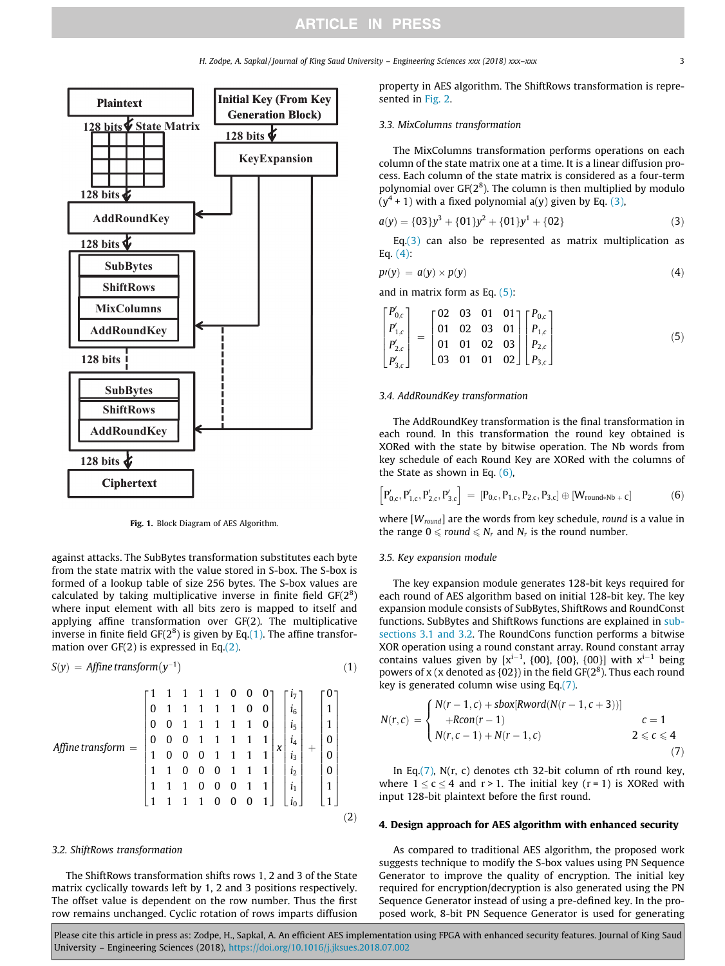H. Zodpe, A. Sapkal / Journal of King Saud University – Engineering Sciences xxx (2018) xxx–xxx 3

<span id="page-2-0"></span>

Fig. 1. Block Diagram of AES Algorithm.

against attacks. The SubBytes transformation substitutes each byte from the state matrix with the value stored in S-box. The S-box is formed of a lookup table of size 256 bytes. The S-box values are calculated by taking multiplicative inverse in finite field  $GF(2^8)$ where input element with all bits zero is mapped to itself and applying affine transformation over GF(2). The multiplicative inverse in finite field  $GF(2^8)$  is given by Eq.(1). The affine transformation over GF(2) is expressed in Eq.(2).

$$
S(y) = Affine transform(y^{-1})
$$
 (1)

$$
Affine\, \text{transform} = \begin{bmatrix} 1 & 1 & 1 & 1 & 1 & 0 & 0 & 0 \\ 0 & 1 & 1 & 1 & 1 & 1 & 0 & 0 \\ 0 & 0 & 1 & 1 & 1 & 1 & 1 & 0 \\ 0 & 0 & 0 & 1 & 1 & 1 & 1 & 1 \\ 1 & 0 & 0 & 0 & 1 & 1 & 1 & 1 \\ 1 & 1 & 0 & 0 & 0 & 1 & 1 & 1 \\ 1 & 1 & 1 & 0 & 0 & 0 & 1 & 1 \\ 1 & 1 & 1 & 0 & 0 & 0 & 1 & 1 \\ 1 & 1 & 1 & 1 & 0 & 0 & 0 & 1 \end{bmatrix} \begin{bmatrix} i_7 \\ i_6 \\ i_5 \\ i_4 \\ i_2 \\ i_3 \\ i_4 \\ i_5 \\ i_6 \end{bmatrix} + \begin{bmatrix} 0 \\ 1 \\ 1 \\ 0 \\ 0 \\ 0 \\ 1 \\ 1 \end{bmatrix}
$$

## 3.2. ShiftRows transformation

The ShiftRows transformation shifts rows 1, 2 and 3 of the State matrix cyclically towards left by 1, 2 and 3 positions respectively. The offset value is dependent on the row number. Thus the first row remains unchanged. Cyclic rotation of rows imparts diffusion property in AES algorithm. The ShiftRows transformation is represented in [Fig. 2.](#page-3-0)

### 3.3. MixColumns transformation

The MixColumns transformation performs operations on each column of the state matrix one at a time. It is a linear diffusion process. Each column of the state matrix is considered as a four-term polynomial over  $GF(2<sup>8</sup>)$ . The column is then multiplied by modulo  $(y<sup>4</sup> + 1)$  with a fixed polynomial a(y) given by Eq. (3),

$$
a(y) = \{03\}y^3 + \{01\}y^2 + \{01\}y^1 + \{02\}
$$
 (3)

Eq. $(3)$  can also be represented as matrix multiplication as Eq. (4):

$$
p(y) = a(y) \times p(y) \tag{4}
$$

and in matrix form as Eq. (5):

$$
\begin{bmatrix}\nP'_{0,c} \\
P'_{1,c} \\
P'_{2,c} \\
P'_{3,c}\n\end{bmatrix} = \begin{bmatrix}\n02 & 03 & 01 & 01 \\
01 & 02 & 03 & 01 \\
01 & 01 & 02 & 03 \\
03 & 01 & 01 & 02\n\end{bmatrix} \begin{bmatrix}\nP_{0,c} \\
P_{1,c} \\
P_{2,c} \\
P_{3,c}\n\end{bmatrix}
$$
\n(5)

### 3.4. AddRoundKey transformation

The AddRoundKey transformation is the final transformation in each round. In this transformation the round key obtained is XORed with the state by bitwise operation. The Nb words from key schedule of each Round Key are XORed with the columns of the State as shown in Eq. (6),

$$
\left[P_{0,c}',P_{1,c}',P_{2,c}',P_{3,c}'\right] \;=\; \left[P_{0,c},P_{1,c},P_{2,c},P_{3,c}\right]\oplus \left[W_{round*Nb}{}_{+}c\right] \tag{6}
$$

where  $[W_{round}]$  are the words from key schedule, round is a value in the range  $0 \leqslant round \leqslant N_r$  and  $N_r$  is the round number.

### 3.5. Key expansion module

The key expansion module generates 128-bit keys required for each round of AES algorithm based on initial 128-bit key. The key expansion module consists of SubBytes, ShiftRows and RoundConst functions. SubBytes and ShiftRows functions are explained in [sub](#page-1-0)[sections 3.1 and 3.2](#page-1-0). The RoundCons function performs a bitwise XOR operation using a round constant array. Round constant array contains values given by  $[x^{i-1}, \{00\}, \{00\}, \{00\}]$  with  $x^{i-1}$  being powers of x (x denoted as  ${02}$ ) in the field GF( $2<sup>8</sup>$ ). Thus each round key is generated column wise using Eq.(7).

$$
N(r, c) = \begin{cases} N(r - 1, c) + sbox[Rword(N(r - 1, c + 3))] \\ +Rcon(r - 1) & c = 1 \\ N(r, c - 1) + N(r - 1, c) & 2 \leq c \leq 4 \\ (7) \end{cases}
$$

In Eq. $(7)$ , N(r, c) denotes cth 32-bit column of rth round key, where  $1 \le c \le 4$  and  $r > 1$ . The initial key ( $r = 1$ ) is XORed with input 128-bit plaintext before the first round.

### 4. Design approach for AES algorithm with enhanced security

As compared to traditional AES algorithm, the proposed work suggests technique to modify the S-box values using PN Sequence Generator to improve the quality of encryption. The initial key required for encryption/decryption is also generated using the PN Sequence Generator instead of using a pre-defined key. In the proposed work, 8-bit PN Sequence Generator is used for generating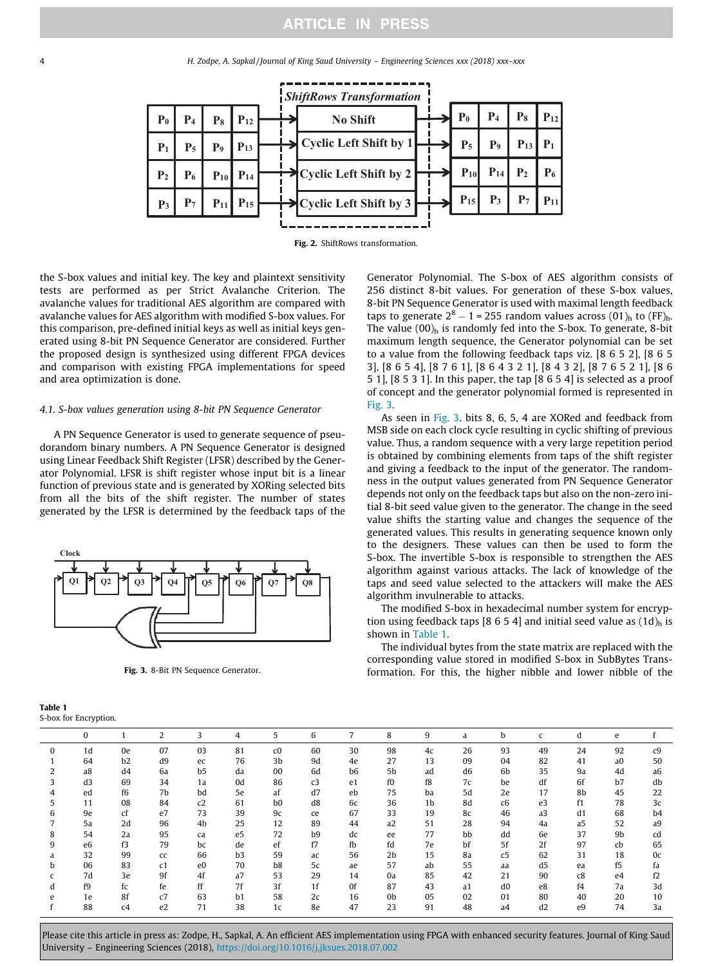<span id="page-3-0"></span>4 H. Zodpe, A. Sapkal / Journal of King Saud University – Engineering Sciences xxx (2018) xxx–xxx



Fig. 2. ShiftRows transformation.

the S-box values and initial key. The key and plaintext sensitivity tests are performed as per Strict Avalanche Criterion. The avalanche values for traditional AES algorithm are compared with avalanche values for AES algorithm with modified S-box values. For this comparison, pre-defined initial keys as well as initial keys generated using 8-bit PN Sequence Generator are considered. Further the proposed design is synthesized using different FPGA devices and comparison with existing FPGA implementations for speed and area optimization is done.

### 4.1. S-box values generation using 8-bit PN Sequence Generator

A PN Sequence Generator is used to generate sequence of pseudorandom binary numbers. A PN Sequence Generator is designed using Linear Feedback Shift Register (LFSR) described by the Generator Polynomial. LFSR is shift register whose input bit is a linear function of previous state and is generated by XORing selected bits from all the bits of the shift register. The number of states generated by the LFSR is determined by the feedback taps of the



Fig. 3. 8-Bit PN Sequence Generator.

| Table 1 |                      |
|---------|----------------------|
|         | S-box for Encryption |

Generator Polynomial. The S-box of AES algorithm consists of 256 distinct 8-bit values. For generation of these S-box values, 8-bit PN Sequence Generator is used with maximal length feedback taps to generate  $2^8 - 1 = 255$  random values across  $(01)_{h}$  to  $(FF)_{h}$ . The value  $(00)$ <sub>h</sub> is randomly fed into the S-box. To generate, 8-bit maximum length sequence, the Generator polynomial can be set to a value from the following feedback taps viz. [8 6 5 2], [8 6 5 3], [8 6 5 4], [8 7 6 1], [8 6 4 3 2 1], [8 4 3 2], [8 7 6 5 2 1], [8 6 5 1], [8 5 3 1]. In this paper, the tap [8 6 5 4] is selected as a proof of concept and the generator polynomial formed is represented in Fig. 3.

As seen in Fig. 3. bits 8, 6, 5, 4 are XORed and feedback from MSB side on each clock cycle resulting in cyclic shifting of previous value. Thus, a random sequence with a very large repetition period is obtained by combining elements from taps of the shift register and giving a feedback to the input of the generator. The randomness in the output values generated from PN Sequence Generator depends not only on the feedback taps but also on the non-zero initial 8-bit seed value given to the generator. The change in the seed value shifts the starting value and changes the sequence of the generated values. This results in generating sequence known only to the designers. These values can then be used to form the S-box. The invertible S-box is responsible to strengthen the AES algorithm against various attacks. The lack of knowledge of the taps and seed value selected to the attackers will make the AES algorithm invulnerable to attacks.

The modified S-box in hexadecimal number system for encryption using feedback taps [8 6 5 4] and initial seed value as  $(1d)$ <sub>h</sub> is shown in Table 1.

The individual bytes from the state matrix are replaced with the corresponding value stored in modified S-box in SubBytes Transformation. For this, the higher nibble and lower nibble of the

|   | $\bf{0}$ |                | 2              | 3              | 4  | 5              | 6  | $\overline{7}$ | 8              | 9  | a              | b              | $\mathsf{C}$   | d              | e              |                |
|---|----------|----------------|----------------|----------------|----|----------------|----|----------------|----------------|----|----------------|----------------|----------------|----------------|----------------|----------------|
| 0 | 1d       | 0e             | 07             | 03             | 81 | c0             | 60 | 30             | 98             | 4c | 26             | 93             | 49             | 24             | 92             | c <sub>9</sub> |
|   | 64       | b2             | d9             | ec             | 76 | 3b             | 9d | 4e             | 27             | 13 | 09             | 04             | 82             | 41             | a <sub>0</sub> | 50             |
| 2 | a8       | d <sub>4</sub> | 6a             | b <sub>5</sub> | da | 00             | 6d | b <sub>6</sub> | 5b             | ad | d <sub>6</sub> | 6 <sub>b</sub> | 35             | 9a             | 4d             | a <sub>6</sub> |
| 3 | d3       | 69             | 34             | 1a             | 0d | 86             | c3 | e <sub>1</sub> | f0             | f8 | 7c             | be             | df             | 6f             | b7             | db             |
| 4 | ed       | f6             | 7b             | bd             | 5e | af             | d7 | eb             | 75             | ba | 5d             | 2e             | 17             | 8b             | 45             | 22             |
| 5 | 11       | 08             | 84             | c2             | 61 | b <sub>0</sub> | d8 | 6c             | 36             | 1b | 8d             | c6             | e3             | f1             | 78             | 3c             |
| 6 | 9e       | cf             | e7             | 73             | 39 | 9c             | ce | 67             | 33             | 19 | 8c             | 46             | a <sub>3</sub> | d1             | 68             | b <sub>4</sub> |
|   | 5a       | 2d             | 96             | 4b             | 25 | 12             | 89 | 44             | a2             | 51 | 28             | 94             | 4a             | a <sub>5</sub> | 52             | a9             |
| 8 | 54       | 2a             | 95             | ca             | e5 | 72             | b9 | dc             | ee             | 77 | bb             | dd             | 6e             | 37             | 9b             | cd             |
| 9 | e6       | f3             | 79             | bc             | de | ef             | f7 | fb             | fd             | 7e | bf             | 5f             | 2f             | 97             | cb             | 65             |
| a | 32       | 99             | cc             | 66             | b3 | 59             | ac | 56             | 2 <sub>b</sub> | 15 | 8a             | c <sub>5</sub> | 62             | 31             | 18             | 0c             |
| b | 06       | 83             | c1             | e <sub>0</sub> | 70 | b8             | 5c | ae             | 57             | ab | 55             | aa             | d <sub>5</sub> | ea             | f5             | fa             |
|   | 7d       | 3e             | 9f             | 4f             | a7 | 53             | 29 | 14             | 0a             | 85 | 42             | 21             | 90             | c8             | e4             | f2             |
| d | f9       | fc             | fe             | ff             | 7f | 3f             | 1f | 0f             | 87             | 43 | a <sub>1</sub> | d <sub>0</sub> | e8             | f4             | 7a             | 3d             |
| e | 1e       | 8f             | c7             | 63             | b1 | 58             | 2c | 16             | 0 <sub>b</sub> | 05 | 02             | 01             | 80             | 40             | 20             | 10             |
|   | 88       | c4             | e <sub>2</sub> | 71             | 38 | 1c             | 8e | 47             | 23             | 91 | 48             | a <sub>4</sub> | d2             | e9             | 74             | 3a             |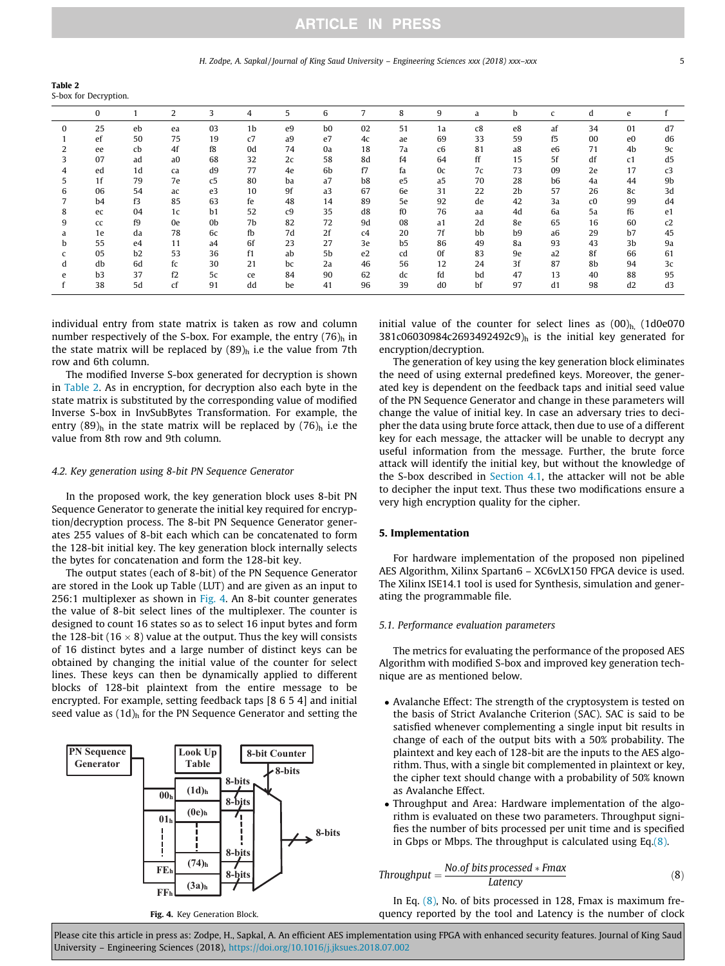### H. Zodpe, A. Sapkal/Journal of King Saud University – Engineering Sciences xxx (2018) xxx–xxx 5

<span id="page-4-0"></span>Table 2 S-box for Decryption.

|   | 0              |                | 2              | 3              | 4              | 5  | 6              | 7  | 8              | 9              | a  | b              | $\mathsf{C}$   | d              | e              |                |
|---|----------------|----------------|----------------|----------------|----------------|----|----------------|----|----------------|----------------|----|----------------|----------------|----------------|----------------|----------------|
|   |                |                |                |                |                |    |                |    |                |                |    |                |                |                |                |                |
| 0 | 25             | eb             | ea             | 03             | 1 <sub>b</sub> | e9 | b <sub>0</sub> | 02 | 51             | 1a             | c8 | e8             | af             | 34             | 01             | d7             |
|   | ef             | 50             | 75             | 19             | c7             | a9 | e7             | 4c | ae             | 69             | 33 | 59             | f5             | 00             | e <sub>0</sub> | d6             |
| 2 | ee             | cb             | 4f             | f8             | 0d             | 74 | 0a             | 18 | 7a             | c6             | 81 | a8             | e <sub>6</sub> | 71             | 4b             | 9c             |
|   | 07             | ad             | a <sub>0</sub> | 68             | 32             | 2c | 58             | 8d | f4             | 64             | ff | 15             | 5f             | df             | c1             | d <sub>5</sub> |
| 4 | ed             | 1d             | ca             | d9             | 77             | 4e | 6b             | f7 | fa             | 0c             | 7c | 73             | 09             | 2e             | 17             | c3             |
| 5 | 1 <sub>f</sub> | 79             | 7e             | c <sub>5</sub> | 80             | ba | a7             | b8 | e <sub>5</sub> | a <sub>5</sub> | 70 | 28             | b <sub>6</sub> | 4a             | 44             | 9b             |
| 6 | 06             | 54             | ac             | e3             | 10             | 9f | a <sub>3</sub> | 67 | 6e             | 31             | 22 | 2 <sub>b</sub> | 57             | 26             | 8c             | 3d             |
|   | b <sub>4</sub> | f3             | 85             | 63             | fe             | 48 | 14             | 89 | 5e             | 92             | de | 42             | 3a             | c <sub>0</sub> | 99             | d4             |
| 8 | ec             | 04             | 1c             | b1             | 52             | c9 | 35             | d8 | f0             | 76             | aa | 4d             | 6a             | 5a             | f6             | e <sub>1</sub> |
| 9 | cc             | f9             | 0e             | 0 <sub>b</sub> | 7b             | 82 | 72             | 9d | 08             | a1             | 2d | 8e             | 65             | 16             | 60             | c2             |
| a | 1e             | da             | 78             | 6c             | fb             | 7d | 2f             | c4 | 20             | 7f             | bb | b <sub>9</sub> | a <sub>6</sub> | 29             | b7             | 45             |
| b | 55             | e4             | 11             | a <sub>4</sub> | 6f             | 23 | 27             | 3e | b <sub>5</sub> | 86             | 49 | 8a             | 93             | 43             | 3b             | 9a             |
| c | 05             | b <sub>2</sub> | 53             | 36             | f1             | ab | 5b             | e2 | cd             | 0f             | 83 | 9e             | a2             | 8f             | 66             | 61             |
| d | db             | 6d             | fc             | 30             | 21             | bc | 2a             | 46 | 56             | 12             | 24 | 3f             | 87             | 8b             | 94             | 3c             |
| e | b <sub>3</sub> | 37             | f2             | 5c             | ce             | 84 | 90             | 62 | dc             | fd             | bd | 47             | 13             | 40             | 88             | 95             |
|   | 38             | 5d             | cf             | 91             | dd             | be | 41             | 96 | 39             | d <sub>0</sub> | bf | 97             | d1             | 98             | d2             | d3             |

individual entry from state matrix is taken as row and column number respectively of the S-box. For example, the entry  $(76)$ <sub>h</sub> in the state matrix will be replaced by  $(89)$ <sub>h</sub> i.e the value from 7th row and 6th column.

The modified Inverse S-box generated for decryption is shown in Table 2. As in encryption, for decryption also each byte in the state matrix is substituted by the corresponding value of modified Inverse S-box in InvSubBytes Transformation. For example, the entry  $(89)$ <sub>h</sub> in the state matrix will be replaced by  $(76)$ <sub>h</sub> i.e the value from 8th row and 9th column.

### 4.2. Key generation using 8-bit PN Sequence Generator

In the proposed work, the key generation block uses 8-bit PN Sequence Generator to generate the initial key required for encryption/decryption process. The 8-bit PN Sequence Generator generates 255 values of 8-bit each which can be concatenated to form the 128-bit initial key. The key generation block internally selects the bytes for concatenation and form the 128-bit key.

The output states (each of 8-bit) of the PN Sequence Generator are stored in the Look up Table (LUT) and are given as an input to 256:1 multiplexer as shown in Fig. 4. An 8-bit counter generates the value of 8-bit select lines of the multiplexer. The counter is designed to count 16 states so as to select 16 input bytes and form the 128-bit (16  $\times$  8) value at the output. Thus the key will consists of 16 distinct bytes and a large number of distinct keys can be obtained by changing the initial value of the counter for select lines. These keys can then be dynamically applied to different blocks of 128-bit plaintext from the entire message to be encrypted. For example, setting feedback taps [8 6 5 4] and initial seed value as  $(1d)$ <sub>h</sub> for the PN Sequence Generator and setting the



Fig. 4. Key Generation Block.

initial value of the counter for select lines as  $(00)_{h}$  (1d0e070  $381c06030984c2693492492c9$ <sub>h</sub> is the initial key generated for encryption/decryption.

The generation of key using the key generation block eliminates the need of using external predefined keys. Moreover, the generated key is dependent on the feedback taps and initial seed value of the PN Sequence Generator and change in these parameters will change the value of initial key. In case an adversary tries to decipher the data using brute force attack, then due to use of a different key for each message, the attacker will be unable to decrypt any useful information from the message. Further, the brute force attack will identify the initial key, but without the knowledge of the S-box described in [Section 4.1](#page-3-0), the attacker will not be able to decipher the input text. Thus these two modifications ensure a very high encryption quality for the cipher.

### 5. Implementation

For hardware implementation of the proposed non pipelined AES Algorithm, Xilinx Spartan6 – XC6vLX150 FPGA device is used. The Xilinx ISE14.1 tool is used for Synthesis, simulation and generating the programmable file.

### 5.1. Performance evaluation parameters

The metrics for evaluating the performance of the proposed AES Algorithm with modified S-box and improved key generation technique are as mentioned below.

- Avalanche Effect: The strength of the cryptosystem is tested on the basis of Strict Avalanche Criterion (SAC). SAC is said to be satisfied whenever complementing a single input bit results in change of each of the output bits with a 50% probability. The plaintext and key each of 128-bit are the inputs to the AES algorithm. Thus, with a single bit complemented in plaintext or key, the cipher text should change with a probability of 50% known as Avalanche Effect.
- Throughput and Area: Hardware implementation of the algorithm is evaluated on these two parameters. Throughput signifies the number of bits processed per unit time and is specified in Gbps or Mbps. The throughput is calculated using Eq.(8).

$$
Throughput = \frac{No. of bits processed * Fmax}{Latency}
$$
 (8)

In Eq.  $(8)$ , No. of bits processed in 128, Fmax is maximum frequency reported by the tool and Latency is the number of clock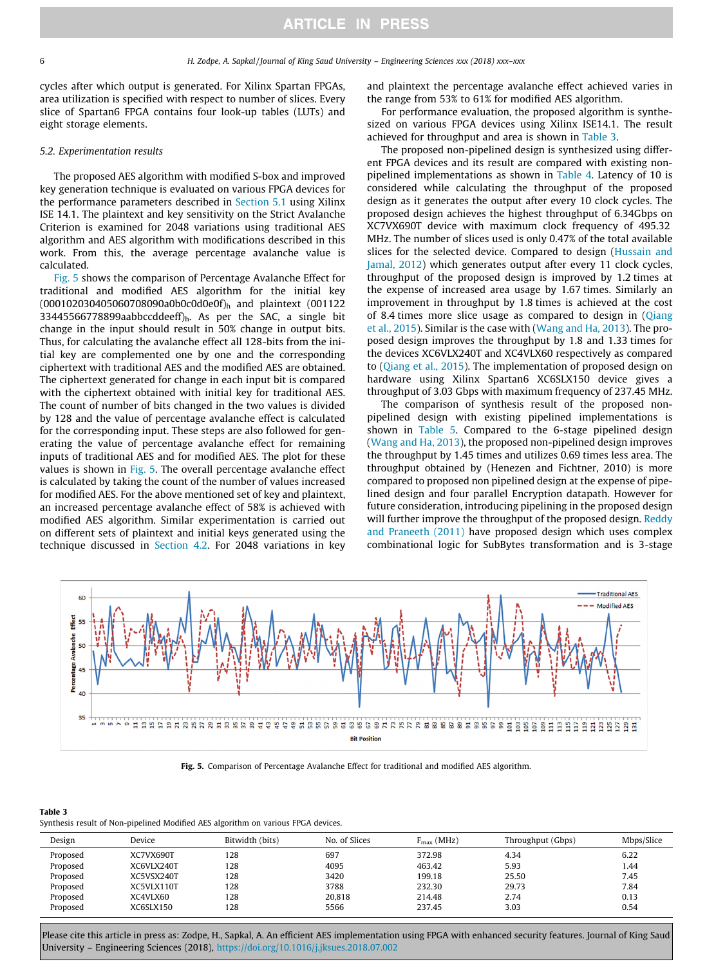cycles after which output is generated. For Xilinx Spartan FPGAs, area utilization is specified with respect to number of slices. Every slice of Spartan6 FPGA contains four look-up tables (LUTs) and eight storage elements.

### 5.2. Experimentation results

The proposed AES algorithm with modified S-box and improved key generation technique is evaluated on various FPGA devices for the performance parameters described in [Section 5.1](#page-4-0) using Xilinx ISE 14.1. The plaintext and key sensitivity on the Strict Avalanche Criterion is examined for 2048 variations using traditional AES algorithm and AES algorithm with modifications described in this work. From this, the average percentage avalanche value is calculated.

Fig. 5 shows the comparison of Percentage Avalanche Effect for traditional and modified AES algorithm for the initial key (000102030405060708090a0b0c0d0e0f)h and plaintext (001122 33445566778899aabbccddeeff $j<sub>h</sub>$ . As per the SAC, a single bit change in the input should result in 50% change in output bits. Thus, for calculating the avalanche effect all 128-bits from the initial key are complemented one by one and the corresponding ciphertext with traditional AES and the modified AES are obtained. The ciphertext generated for change in each input bit is compared with the ciphertext obtained with initial key for traditional AES. The count of number of bits changed in the two values is divided by 128 and the value of percentage avalanche effect is calculated for the corresponding input. These steps are also followed for generating the value of percentage avalanche effect for remaining inputs of traditional AES and for modified AES. The plot for these values is shown in Fig. 5. The overall percentage avalanche effect is calculated by taking the count of the number of values increased for modified AES. For the above mentioned set of key and plaintext, an increased percentage avalanche effect of 58% is achieved with modified AES algorithm. Similar experimentation is carried out on different sets of plaintext and initial keys generated using the technique discussed in [Section 4.2.](#page-4-0) For 2048 variations in key and plaintext the percentage avalanche effect achieved varies in the range from 53% to 61% for modified AES algorithm.

For performance evaluation, the proposed algorithm is synthesized on various FPGA devices using Xilinx ISE14.1. The result achieved for throughput and area is shown in Table 3.

The proposed non-pipelined design is synthesized using different FPGA devices and its result are compared with existing nonpipelined implementations as shown in [Table 4](#page-6-0). Latency of 10 is considered while calculating the throughput of the proposed design as it generates the output after every 10 clock cycles. The proposed design achieves the highest throughput of 6.34Gbps on XC7VX690T device with maximum clock frequency of 495.32 MHz. The number of slices used is only 0.47% of the total available slices for the selected device. Compared to design [\(Hussain and](#page-6-0) [Jamal, 2012\)](#page-6-0) which generates output after every 11 clock cycles, throughput of the proposed design is improved by 1.2 times at the expense of increased area usage by 1.67 times. Similarly an improvement in throughput by 1.8 times is achieved at the cost of 8.4 times more slice usage as compared to design in ([Qiang](#page-6-0) [et al., 2015](#page-6-0)). Similar is the case with ([Wang and Ha, 2013](#page-7-0)). The proposed design improves the throughput by 1.8 and 1.33 times for the devices XC6VLX240T and XC4VLX60 respectively as compared to ([Qiang et al., 2015](#page-6-0)). The implementation of proposed design on hardware using Xilinx Spartan6 XC6SLX150 device gives a throughput of 3.03 Gbps with maximum frequency of 237.45 MHz.

The comparison of synthesis result of the proposed nonpipelined design with existing pipelined implementations is shown in [Table 5](#page-6-0). Compared to the 6-stage pipelined design ([Wang and Ha, 2013](#page-7-0)), the proposed non-pipelined design improves the throughput by 1.45 times and utilizes 0.69 times less area. The throughput obtained by (Henezen and Fichtner, 2010) is more compared to proposed non pipelined design at the expense of pipelined design and four parallel Encryption datapath. However for future consideration, introducing pipelining in the proposed design will further improve the throughput of the proposed design. [Reddy](#page-7-0) [and Praneeth \(2011\)](#page-7-0) have proposed design which uses complex combinational logic for SubBytes transformation and is 3-stage



Fig. 5. Comparison of Percentage Avalanche Effect for traditional and modified AES algorithm.

Synthesis result of Non-pipelined Modified AES algorithm on various FPGA devices.

| Design   | Device     | Bitwidth (bits) | No. of Slices | $F_{\text{max}}$ (MHz) | Throughput (Gbps) | Mbps/Slice |
|----------|------------|-----------------|---------------|------------------------|-------------------|------------|
| Proposed | XC7VX690T  | 128             | 697           | 372.98                 | 4.34              | 6.22       |
| Proposed | XC6VLX240T | 128             | 4095          | 463.42                 | 5.93              | 1.44       |
| Proposed | XC5VSX240T | 128             | 3420          | 199.18                 | 25.50             | 7.45       |
| Proposed | XC5VLX110T | 128             | 3788          | 232.30                 | 29.73             | 7.84       |
| Proposed | XC4VLX60   | 128             | 20.818        | 214.48                 | 2.74              | 0.13       |
| Proposed | XC6SLX150  | 128             | 5566          | 237.45                 | 3.03              | 0.54       |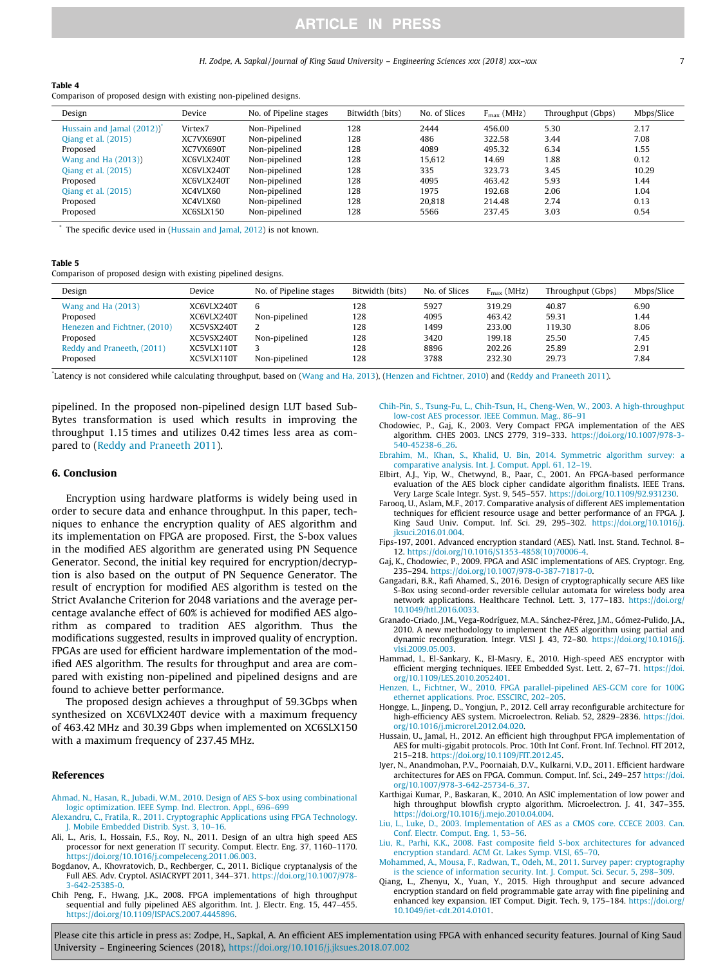#### H. Zodpe, A. Sapkal / Journal of King Saud University – Engineering Sciences xxx (2018) xxx–xxx 7

#### <span id="page-6-0"></span>Table 4

|  | Comparison of proposed design with existing non-pipelined designs. |  |  |  |
|--|--------------------------------------------------------------------|--|--|--|
|  |                                                                    |  |  |  |

| Design                    | Device     | No. of Pipeline stages | Bitwidth (bits) | No. of Slices | $F_{\text{max}}$ (MHz) | Throughput (Gbps) | Mbps/Slice |
|---------------------------|------------|------------------------|-----------------|---------------|------------------------|-------------------|------------|
| Hussain and Jamal (2012)) | Virtex7    | Non-Pipelined          | 128             | 2444          | 456.00                 | 5.30              | 2.17       |
| Qiang et al. (2015)       | XC7VX690T  | Non-pipelined          | 128             | 486           | 322.58                 | 3.44              | 7.08       |
| Proposed                  | XC7VX690T  | Non-pipelined          | 128             | 4089          | 495.32                 | 6.34              | 1.55       |
| Wang and Ha (2013))       | XC6VLX240T | Non-pipelined          | 128             | 15.612        | 14.69                  | 1.88              | 0.12       |
| Oiang et al. (2015)       | XC6VLX240T | Non-pipelined          | 128             | 335           | 323.73                 | 3.45              | 10.29      |
| Proposed                  | XC6VLX240T | Non-pipelined          | 128             | 4095          | 463.42                 | 5.93              | 1.44       |
| Oiang et al. (2015)       | XC4VLX60   | Non-pipelined          | 128             | 1975          | 192.68                 | 2.06              | 1.04       |
| Proposed                  | XC4VLX60   | Non-pipelined          | 128             | 20.818        | 214.48                 | 2.74              | 0.13       |
| Proposed                  | XC6SLX150  | Non-pipelined          | 128             | 5566          | 237.45                 | 3.03              | 0.54       |

The specific device used in (Hussain and Jamal, 2012) is not known.

#### Table 5

| Comparison of proposed design with existing pipelined designs. |  |
|----------------------------------------------------------------|--|
|                                                                |  |

| Design                                                                             | Device                                               | No. of Pipeline stages         | Bitwidth (bits)          | No. of Slices                | $F_{\text{max}}$ (MHz)               | Throughput (Gbps)                 | Mbps/Slice                   |
|------------------------------------------------------------------------------------|------------------------------------------------------|--------------------------------|--------------------------|------------------------------|--------------------------------------|-----------------------------------|------------------------------|
| Wang and Ha (2013)<br>Proposed                                                     | XC6VLX240T<br>XC6VLX240T                             | 6<br>Non-pipelined             | 128<br>128               | 5927<br>4095                 | 319.29<br>463.42                     | 40.87<br>59.31                    | 6.90<br>1.44                 |
| Henezen and Fichtner, (2010)<br>Proposed<br>Reddy and Praneeth, (2011)<br>Proposed | XC5VSX240T<br>XC5VSX240T<br>XC5VLX110T<br>XC5VLX110T | Non-pipelined<br>Non-pipelined | 128<br>128<br>128<br>128 | 1499<br>3420<br>8896<br>3788 | 233.00<br>199.18<br>202.26<br>232.30 | 119.30<br>25.50<br>25.89<br>29.73 | 8.06<br>7.45<br>2.91<br>7.84 |

\* Latency is not considered while calculating throughput, based on [\(Wang and Ha, 2013\)](#page-7-0), (Henzen and Fichtner, 2010) and [\(Reddy and Praneeth 2011\)](#page-7-0).

pipelined. In the proposed non-pipelined design LUT based Sub-Bytes transformation is used which results in improving the throughput 1.15 times and utilizes 0.42 times less area as compared to [\(Reddy and Praneeth 2011](#page-7-0)).

### 6. Conclusion

Encryption using hardware platforms is widely being used in order to secure data and enhance throughput. In this paper, techniques to enhance the encryption quality of AES algorithm and its implementation on FPGA are proposed. First, the S-box values in the modified AES algorithm are generated using PN Sequence Generator. Second, the initial key required for encryption/decryption is also based on the output of PN Sequence Generator. The result of encryption for modified AES algorithm is tested on the Strict Avalanche Criterion for 2048 variations and the average percentage avalanche effect of 60% is achieved for modified AES algorithm as compared to tradition AES algorithm. Thus the modifications suggested, results in improved quality of encryption. FPGAs are used for efficient hardware implementation of the modified AES algorithm. The results for throughput and area are compared with existing non-pipelined and pipelined designs and are found to achieve better performance.

The proposed design achieves a throughput of 59.3Gbps when synthesized on XC6VLX240T device with a maximum frequency of 463.42 MHz and 30.39 Gbps when implemented on XC6SLX150 with a maximum frequency of 237.45 MHz.

### References

- [Ahmad, N., Hasan, R., Jubadi, W.M., 2010. Design of AES S-box using combinational](http://refhub.elsevier.com/S1018-3639(18)30207-1/h0005) [logic optimization. IEEE Symp. Ind. Electron. Appl., 696–699](http://refhub.elsevier.com/S1018-3639(18)30207-1/h0005)
- [Alexandru, C., Fratila, R., 2011. Cryptographic Applications using FPGA Technology.](http://refhub.elsevier.com/S1018-3639(18)30207-1/h0010) [J. Mobile Embedded Distrib. Syst. 3, 10–16](http://refhub.elsevier.com/S1018-3639(18)30207-1/h0010).
- Ali, L., Aris, I., Hossain, F.S., Roy, N., 2011. Design of an ultra high speed AES processor for next generation IT security. Comput. Electr. Eng. 37, 1160–1170. <https://doi.org/10.1016/j.compeleceng.2011.06.003>.
- Bogdanov, A., Khovratovich, D., Rechberger, C., 2011. Biclique cryptanalysis of the Full AES. Adv. Cryptol. ASIACRYPT 2011, 344–371. [https://doi.org/10.1007/978-](https://doi.org/10.1007/978-3-642-25385-0) [3-642-25385-0.](https://doi.org/10.1007/978-3-642-25385-0)
- Chih Peng, F., Hwang, J.K., 2008. FPGA implementations of high throughput sequential and fully pipelined AES algorithm. Int. J. Electr. Eng. 15, 447–455. [https://doi.org/10.1109/ISPACS.2007.4445896.](https://doi.org/10.1109/ISPACS.2007.4445896)
- [Chih-Pin, S., Tsung-Fu, L., Chih-Tsun, H., Cheng-Wen, W., 2003. A high-throughput](http://refhub.elsevier.com/S1018-3639(18)30207-1/h0030) [low-cost AES processor. IEEE Commun. Mag., 86–91](http://refhub.elsevier.com/S1018-3639(18)30207-1/h0030)
- Chodowiec, P., Gaj, K., 2003. Very Compact FPGA implementation of the AES algorithm. CHES 2003. LNCS 2779, 319–333. [https://doi.org/10.1007/978-3-](https://doi.org/10.1007/978-3-540-45238-6_26) [540-45238-6\\_26](https://doi.org/10.1007/978-3-540-45238-6_26).
- [Ebrahim, M., Khan, S., Khalid, U. Bin, 2014. Symmetric algorithm survey: a](http://refhub.elsevier.com/S1018-3639(18)30207-1/h0040)
- [comparative analysis. Int. J. Comput. Appl. 61, 12–19.](http://refhub.elsevier.com/S1018-3639(18)30207-1/h0040) Elbirt, A.J., Yip, W., Chetwynd, B., Paar, C., 2001. An FPGA-based performance evaluation of the AES block cipher candidate algorithm finalists. IEEE Trans. Very Large Scale Integr. Syst. 9, 545–557. [https://doi.org/10.1109/92.931230.](https://doi.org/10.1109/92.931230)
- Farooq, U., Aslam, M.F., 2017. Comparative analysis of different AES implementation techniques for efficient resource usage and better performance of an FPGA. J. King Saud Univ. Comput. Inf. Sci. 29, 295–302. [https://doi.org/10.1016/j.](https://doi.org/10.1016/j.jksuci.2016.01.004) [jksuci.2016.01.004.](https://doi.org/10.1016/j.jksuci.2016.01.004)
- Fips-197, 2001. Advanced encryption standard (AES). Natl. Inst. Stand. Technol. 8– 12. [https://doi.org/10.1016/S1353-4858\(10\)70006-4.](https://doi.org/10.1016/S1353-4858(10)70006-4)
- Gaj, K., Chodowiec, P., 2009. FPGA and ASIC implementations of AES. Cryptogr. Eng. 235–294. [https://doi.org/10.1007/978-0-387-71817-0.](https://doi.org/10.1007/978-0-387-71817-0)
- Gangadari, B.R., Rafi Ahamed, S., 2016. Design of cryptographically secure AES like S-Box using second-order reversible cellular automata for wireless body area network applications. Healthcare Technol. Lett. 3, 177–183. [https://doi.org/](https://doi.org/10.1049/htl.2016.0033) [10.1049/htl.2016.0033.](https://doi.org/10.1049/htl.2016.0033)
- Granado-Criado, J.M., Vega-Rodríguez, M.A., Sánchez-Pérez, J.M., Gómez-Pulido, J.A., 2010. A new methodology to implement the AES algorithm using partial and dynamic reconfiguration. Integr. VLSI J. 43, 72–80. [https://doi.org/10.1016/j.](https://doi.org/10.1016/j.vlsi.2009.05.003) [vlsi.2009.05.003.](https://doi.org/10.1016/j.vlsi.2009.05.003)
- Hammad, I., El-Sankary, K., El-Masry, E., 2010. High-speed AES encryptor with efficient merging techniques. IEEE Embedded Syst. Lett. 2, 67–71. [https://doi.](https://doi.org/10.1109/LES.2010.2052401) [org/10.1109/LES.2010.2052401.](https://doi.org/10.1109/LES.2010.2052401)
- [Henzen, L., Fichtner, W., 2010. FPGA parallel-pipelined AES-GCM core for 100G](http://refhub.elsevier.com/S1018-3639(18)30207-1/h0080) [ethernet applications. Proc. ESSCIRC, 202–205](http://refhub.elsevier.com/S1018-3639(18)30207-1/h0080).
- Hongge, L., Jinpeng, D., Yongjun, P., 2012. Cell array reconfigurable architecture for high-efficiency AES system. Microelectron. Reliab. 52, 2829–2836. [https://doi.](https://doi.org/10.1016/j.microrel.2012.04.020) [org/10.1016/j.microrel.2012.04.020](https://doi.org/10.1016/j.microrel.2012.04.020).
- Hussain, U., Jamal, H., 2012. An efficient high throughput FPGA implementation of AES for multi-gigabit protocols. Proc. 10th Int Conf. Front. Inf. Technol. FIT 2012, 215–218. [https://doi.org/10.1109/FIT.2012.45.](https://doi.org/10.1109/FIT.2012.45)
- Iyer, N., Anandmohan, P.V., Poornaiah, D.V., Kulkarni, V.D., 2011. Efficient hardware architectures for AES on FPGA. Commun. Comput. Inf. Sci., 249–257 [https://doi.](https://doi.org/10.1007/978-3-642-25734-6_37) [org/10.1007/978-3-642-25734-6\\_37](https://doi.org/10.1007/978-3-642-25734-6_37).
- Karthigai Kumar, P., Baskaran, K., 2010. An ASIC implementation of low power and high throughput blowfish crypto algorithm. Microelectron. J. 41, 347–355. <https://doi.org/10.1016/j.mejo.2010.04.004>.
- [Liu, L., Luke, D., 2003. Implementation of AES as a CMOS core. CCECE 2003. Can.](http://refhub.elsevier.com/S1018-3639(18)30207-1/h0105) [Conf. Electr. Comput. Eng. 1, 53–56](http://refhub.elsevier.com/S1018-3639(18)30207-1/h0105).
- [Liu, R., Parhi, K.K., 2008. Fast composite field S-box architectures for advanced](http://refhub.elsevier.com/S1018-3639(18)30207-1/h0110) [encryption standard. ACM Gt. Lakes Symp. VLSI, 65–70](http://refhub.elsevier.com/S1018-3639(18)30207-1/h0110).
- [Mohammed, A., Mousa, F., Radwan, T., Odeh, M., 2011. Survey paper: cryptography](http://refhub.elsevier.com/S1018-3639(18)30207-1/h0115) [is the science of information security. Int. J. Comput. Sci. Secur. 5, 298–309.](http://refhub.elsevier.com/S1018-3639(18)30207-1/h0115)
- Qiang, L., Zhenyu, X., Yuan, Y., 2015. High throughput and secure advanced encryption standard on field programmable gate array with fine pipelining and enhanced key expansion. IET Comput. Digit. Tech. 9, 175-184. [https://doi.org/](https://doi.org/10.1049/iet-cdt.2014.0101) [10.1049/iet-cdt.2014.0101.](https://doi.org/10.1049/iet-cdt.2014.0101)